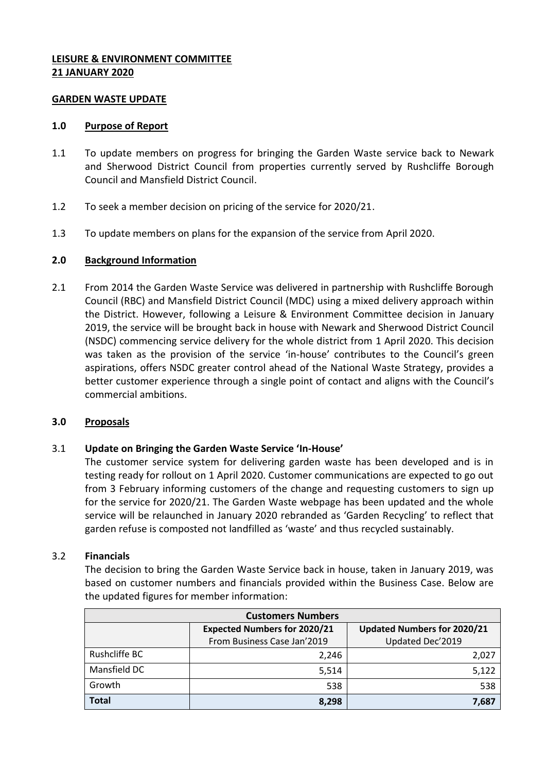# **LEISURE & ENVIRONMENT COMMITTEE 21 JANUARY 2020**

### **GARDEN WASTE UPDATE**

### **1.0 Purpose of Report**

- 1.1 To update members on progress for bringing the Garden Waste service back to Newark and Sherwood District Council from properties currently served by Rushcliffe Borough Council and Mansfield District Council.
- 1.2 To seek a member decision on pricing of the service for 2020/21.
- 1.3 To update members on plans for the expansion of the service from April 2020.

# **2.0 Background Information**

2.1 From 2014 the Garden Waste Service was delivered in partnership with Rushcliffe Borough Council (RBC) and Mansfield District Council (MDC) using a mixed delivery approach within the District. However, following a Leisure & Environment Committee decision in January 2019, the service will be brought back in house with Newark and Sherwood District Council (NSDC) commencing service delivery for the whole district from 1 April 2020. This decision was taken as the provision of the service 'in-house' contributes to the Council's green aspirations, offers NSDC greater control ahead of the National Waste Strategy, provides a better customer experience through a single point of contact and aligns with the Council's commercial ambitions.

### **3.0 Proposals**

# 3.1 **Update on Bringing the Garden Waste Service 'In-House'**

The customer service system for delivering garden waste has been developed and is in testing ready for rollout on 1 April 2020. Customer communications are expected to go out from 3 February informing customers of the change and requesting customers to sign up for the service for 2020/21. The Garden Waste webpage has been updated and the whole service will be relaunched in January 2020 rebranded as 'Garden Recycling' to reflect that garden refuse is composted not landfilled as 'waste' and thus recycled sustainably.

### 3.2 **Financials**

The decision to bring the Garden Waste Service back in house, taken in January 2019, was based on customer numbers and financials provided within the Business Case. Below are the updated figures for member information:

| <b>Customers Numbers</b> |                                     |                                    |  |  |  |
|--------------------------|-------------------------------------|------------------------------------|--|--|--|
|                          | <b>Expected Numbers for 2020/21</b> | <b>Updated Numbers for 2020/21</b> |  |  |  |
|                          | From Business Case Jan'2019         | Updated Dec'2019                   |  |  |  |
| Rushcliffe BC            | 2,246                               | 2,027                              |  |  |  |
| Mansfield DC             | 5,514                               | 5,122                              |  |  |  |
| Growth                   | 538                                 | 538                                |  |  |  |
| <b>Total</b>             | 8,298                               | 7,687                              |  |  |  |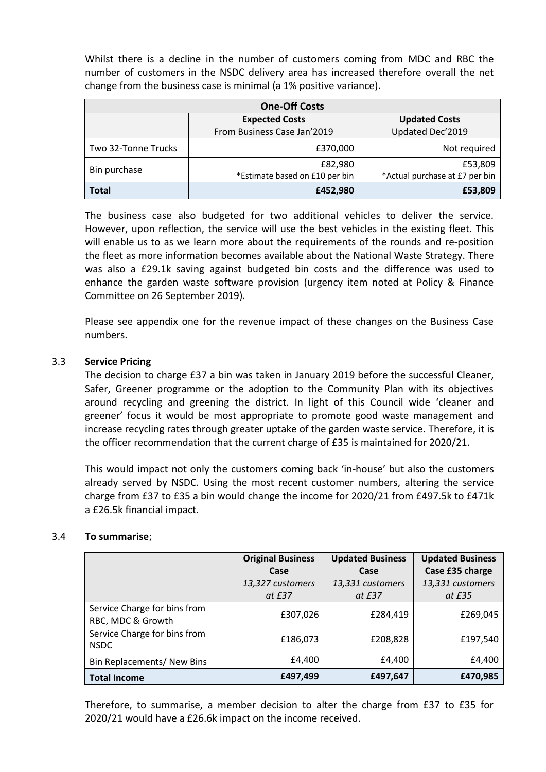Whilst there is a decline in the number of customers coming from MDC and RBC the number of customers in the NSDC delivery area has increased therefore overall the net change from the business case is minimal (a 1% positive variance).

| <b>One-Off Costs</b> |                                |                                |  |  |  |
|----------------------|--------------------------------|--------------------------------|--|--|--|
|                      | <b>Expected Costs</b>          | <b>Updated Costs</b>           |  |  |  |
|                      | From Business Case Jan'2019    | Updated Dec'2019               |  |  |  |
| Two 32-Tonne Trucks  | £370,000                       | Not required                   |  |  |  |
| Bin purchase         | £82,980                        | £53,809                        |  |  |  |
|                      | *Estimate based on £10 per bin | *Actual purchase at £7 per bin |  |  |  |
| <b>Total</b>         | £452,980                       | £53,809                        |  |  |  |

The business case also budgeted for two additional vehicles to deliver the service. However, upon reflection, the service will use the best vehicles in the existing fleet. This will enable us to as we learn more about the requirements of the rounds and re-position the fleet as more information becomes available about the National Waste Strategy. There was also a £29.1k saving against budgeted bin costs and the difference was used to enhance the garden waste software provision (urgency item noted at Policy & Finance Committee on 26 September 2019).

Please see appendix one for the revenue impact of these changes on the Business Case numbers.

# 3.3 **Service Pricing**

The decision to charge £37 a bin was taken in January 2019 before the successful Cleaner, Safer, Greener programme or the adoption to the Community Plan with its objectives around recycling and greening the district. In light of this Council wide 'cleaner and greener' focus it would be most appropriate to promote good waste management and increase recycling rates through greater uptake of the garden waste service. Therefore, it is the officer recommendation that the current charge of £35 is maintained for 2020/21.

This would impact not only the customers coming back 'in-house' but also the customers already served by NSDC. Using the most recent customer numbers, altering the service charge from £37 to £35 a bin would change the income for 2020/21 from £497.5k to £471k a £26.5k financial impact.

### 3.4 **To summarise**;

|                                                   | <b>Original Business</b> | <b>Updated Business</b> | <b>Updated Business</b> |
|---------------------------------------------------|--------------------------|-------------------------|-------------------------|
|                                                   | Case                     | Case                    | Case £35 charge         |
|                                                   | 13,327 customers         | 13,331 customers        | 13,331 customers        |
|                                                   | at £37                   | at £37                  | at £35                  |
| Service Charge for bins from<br>RBC, MDC & Growth | £307,026                 | £284,419                | £269,045                |
| Service Charge for bins from<br><b>NSDC</b>       | £186,073                 | £208,828                | £197,540                |
| Bin Replacements/ New Bins                        | £4,400                   | £4,400                  | £4,400                  |
| <b>Total Income</b>                               | £497,499                 | £497,647                | £470,985                |

Therefore, to summarise, a member decision to alter the charge from £37 to £35 for 2020/21 would have a £26.6k impact on the income received.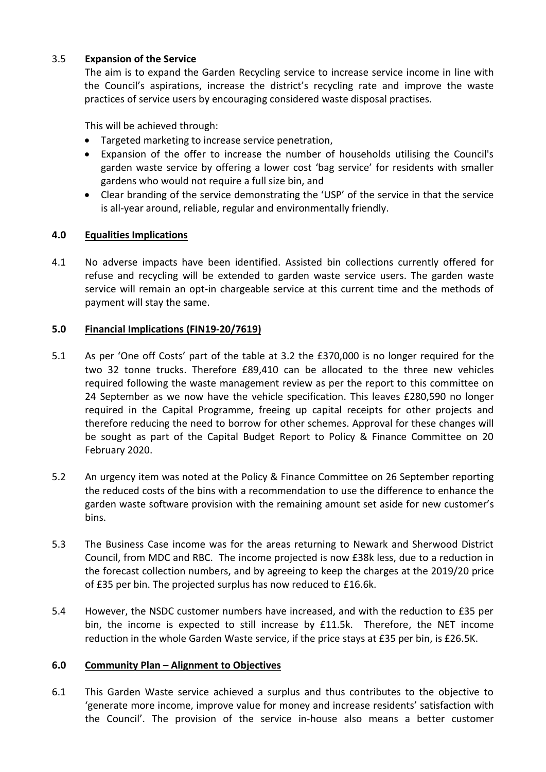# 3.5 **Expansion of the Service**

The aim is to expand the Garden Recycling service to increase service income in line with the Council's aspirations, increase the district's recycling rate and improve the waste practices of service users by encouraging considered waste disposal practises.

This will be achieved through:

- Targeted marketing to increase service penetration,
- Expansion of the offer to increase the number of households utilising the Council's garden waste service by offering a lower cost 'bag service' for residents with smaller gardens who would not require a full size bin, and
- Clear branding of the service demonstrating the 'USP' of the service in that the service is all-year around, reliable, regular and environmentally friendly.

# **4.0 Equalities Implications**

4.1 No adverse impacts have been identified. Assisted bin collections currently offered for refuse and recycling will be extended to garden waste service users. The garden waste service will remain an opt-in chargeable service at this current time and the methods of payment will stay the same.

# **5.0 Financial Implications (FIN19-20/7619)**

- 5.1 As per 'One off Costs' part of the table at 3.2 the £370,000 is no longer required for the two 32 tonne trucks. Therefore £89,410 can be allocated to the three new vehicles required following the waste management review as per the report to this committee on 24 September as we now have the vehicle specification. This leaves £280,590 no longer required in the Capital Programme, freeing up capital receipts for other projects and therefore reducing the need to borrow for other schemes. Approval for these changes will be sought as part of the Capital Budget Report to Policy & Finance Committee on 20 February 2020.
- 5.2 An urgency item was noted at the Policy & Finance Committee on 26 September reporting the reduced costs of the bins with a recommendation to use the difference to enhance the garden waste software provision with the remaining amount set aside for new customer's bins.
- 5.3 The Business Case income was for the areas returning to Newark and Sherwood District Council, from MDC and RBC. The income projected is now £38k less, due to a reduction in the forecast collection numbers, and by agreeing to keep the charges at the 2019/20 price of £35 per bin. The projected surplus has now reduced to £16.6k.
- 5.4 However, the NSDC customer numbers have increased, and with the reduction to £35 per bin, the income is expected to still increase by £11.5k. Therefore, the NET income reduction in the whole Garden Waste service, if the price stays at £35 per bin, is £26.5K.

### **6.0 Community Plan – Alignment to Objectives**

6.1 This Garden Waste service achieved a surplus and thus contributes to the objective to 'generate more income, improve value for money and increase residents' satisfaction with the Council'. The provision of the service in-house also means a better customer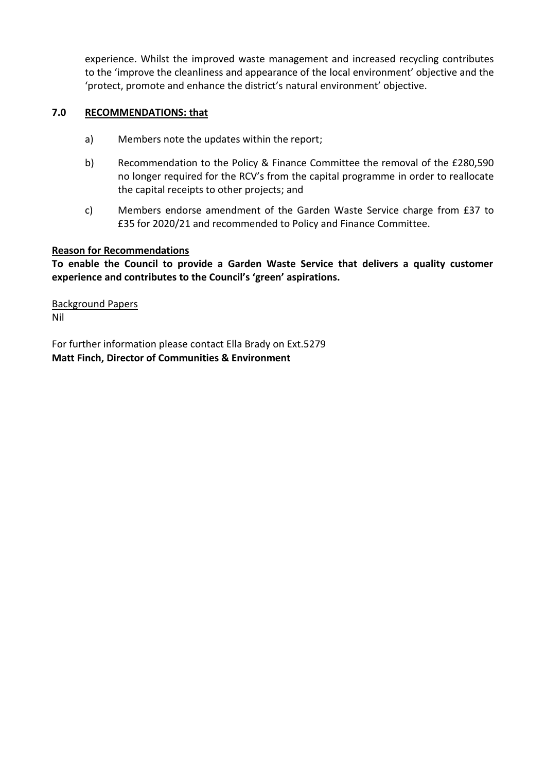experience. Whilst the improved waste management and increased recycling contributes to the 'improve the cleanliness and appearance of the local environment' objective and the 'protect, promote and enhance the district's natural environment' objective.

# **7.0 RECOMMENDATIONS: that**

- a) Members note the updates within the report;
- b) Recommendation to the Policy & Finance Committee the removal of the £280,590 no longer required for the RCV's from the capital programme in order to reallocate the capital receipts to other projects; and
- c) Members endorse amendment of the Garden Waste Service charge from £37 to £35 for 2020/21 and recommended to Policy and Finance Committee.

# **Reason for Recommendations**

**To enable the Council to provide a Garden Waste Service that delivers a quality customer experience and contributes to the Council's 'green' aspirations.**

Background Papers Nil

For further information please contact Ella Brady on Ext.5279 **Matt Finch, Director of Communities & Environment**